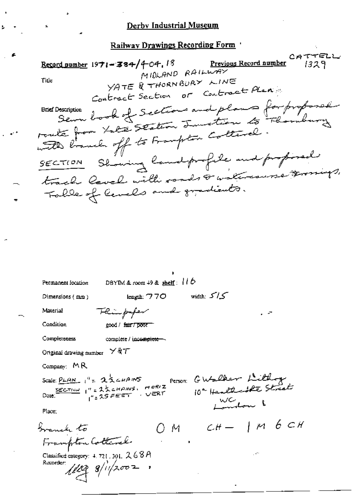## Derby Industrial Museum

Railway Drawings Recording Form

CATTELL Record number  $1971 - 384/404.18$ <u>Previous Record number</u> 1329 MIDLAND RAILWAY YATE & THORNBURY LINE Title Contract Section or Contract Plan escription book of Sections and plans for proposal **Brief Description** route from tate staten Junction to Flombury with branch off to Frampton Cottanel. SECTION Showing landprofile and proposed track level with roads & watercourse & migs, Table of levels and gradients.

Permanent location

DBYIM & room  $+9$  & shelf:  $110$ 

Dimensions (mm)

length: 770

کے /کے width:

Condition

Material

Flümpaper good / fair / poor

complete / incomplete -

Completeness

Original drawing number  $\times$  &  $\tau$ 

Company: MR

Scale:  $\frac{\rho_{LAM}}{1}$   $1^9$  =  $23$  cHAINS Date:  $I'' = 2\frac{1}{2}$  change HORIZ  $1"$  = 25 FEET  $\sqrt{ERT}$ 

Place:

Granch to Frampton Collerel.

Classified category:  $4.721.301.268A$ Reporter:  $\ell\ell\ell 3$   $s/$ ii/2002

Person: GWalker Lithog WC 100 }

 $OM$   $CH-$  | M  $6$  CH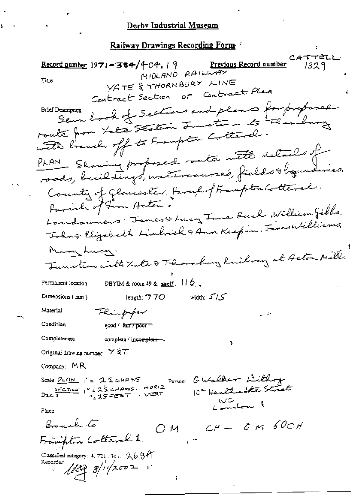## Derby Industrial Museum

Railway Drawings Recording Form 4

CATTELL Previous Record number Record number  $1971 - 384/404$ , | 9 1329 MIDLAND RAILWAY YATE & THORNBURY LINE Title Contract Section or Contract Plan Sem book of Sections and plans for proposed **Brief Description** route from Late Staten Junction to Floridas with branch off to Frampton Cottanal. PLAN Showing proposed route with details of roads, buildings, watercourse's, fields to gunderies. County of glowerster, Parish of Frampton Cotteral. Parish of Fron Acton. Londowners: James & Lucy Jane Buch William Gibbs. Johns Elizabeth Limbrich & Ann Keepin, James Williams, Many Lucy. Junction with Late & Thornhang Railway at Acton Mill. DBYIM & room  $49$  & shelf:  $110$ . Permanent location width:  $5^{\prime}/5^{\prime}$ iengin: 770 Dunensions (mm) Material Flampaper Condition good / fair / poor Completeness complete / inc<del>omplete —</del> Original drawing number  $\times$  & T Company:  $MR$ Person: GWalker Lithog Scale:  $\frac{p_L q_M}{q}$ , "=  $25$  cHANS Due:  $\frac{55227124}{8}$   $1''$  =  $2\frac{1}{2}$  cHAm/s. HORIZ 10" Healthcatte Street  $1.25555$ WC don 1 Place: Branch to  $CH - O$  M  $60CH$ Ом. Franklin Cotteral 1. Classified category:  $4.721$ ,  $301$ ,  $2.69$   $\alpha$ Recorder:  $1003 8/11/2002$